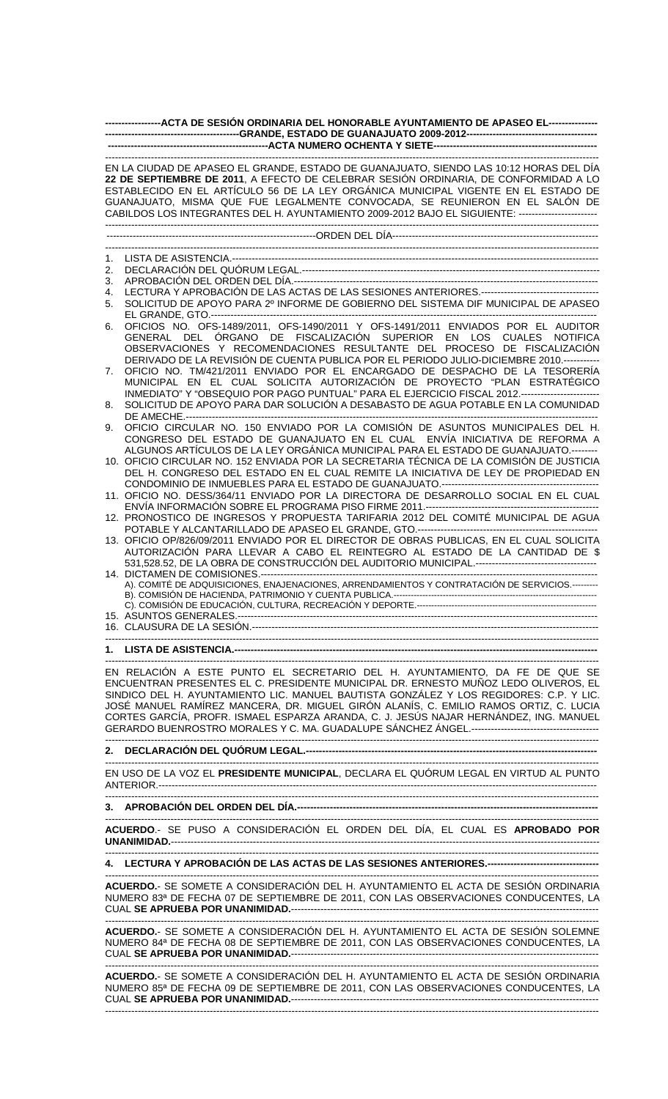| ------------------ACTA DE SESIÓN ORDINARIA DEL HONORABLE AYUNTAMIENTO DE APASEO EL----------------                                                                                                                                                                                                                                                                                                                                                        |                                                                                                                                                                                                                                                                                                                                |  |
|-----------------------------------------------------------------------------------------------------------------------------------------------------------------------------------------------------------------------------------------------------------------------------------------------------------------------------------------------------------------------------------------------------------------------------------------------------------|--------------------------------------------------------------------------------------------------------------------------------------------------------------------------------------------------------------------------------------------------------------------------------------------------------------------------------|--|
|                                                                                                                                                                                                                                                                                                                                                                                                                                                           |                                                                                                                                                                                                                                                                                                                                |  |
| EN LA CIUDAD DE APASEO EL GRANDE, ESTADO DE GUANAJUATO, SIENDO LAS 10:12 HORAS DEL DÍA<br>22 DE SEPTIEMBRE DE 2011, A EFECTO DE CELEBRAR SESIÓN ORDINARIA, DE CONFORMIDAD A LO<br>ESTABLECIDO EN EL ARTÍCULO 56 DE LA LEY ORGÁNICA MUNICIPAL VIGENTE EN EL ESTADO DE<br>GUANAJUATO, MISMA QUE FUE LEGALMENTE CONVOCADA, SE REUNIERON EN EL SALÓN DE<br>CABILDOS LOS INTEGRANTES DEL H. AYUNTAMIENTO 2009-2012 BAJO EL SIGUIENTE: ------------------------ |                                                                                                                                                                                                                                                                                                                                |  |
|                                                                                                                                                                                                                                                                                                                                                                                                                                                           |                                                                                                                                                                                                                                                                                                                                |  |
|                                                                                                                                                                                                                                                                                                                                                                                                                                                           |                                                                                                                                                                                                                                                                                                                                |  |
| 1.<br>2.                                                                                                                                                                                                                                                                                                                                                                                                                                                  |                                                                                                                                                                                                                                                                                                                                |  |
| 3.                                                                                                                                                                                                                                                                                                                                                                                                                                                        |                                                                                                                                                                                                                                                                                                                                |  |
| 4.                                                                                                                                                                                                                                                                                                                                                                                                                                                        |                                                                                                                                                                                                                                                                                                                                |  |
| 5.                                                                                                                                                                                                                                                                                                                                                                                                                                                        | SOLICITUD DE APOYO PARA 2º INFORME DE GOBIERNO DEL SISTEMA DIF MUNICIPAL DE APASEO                                                                                                                                                                                                                                             |  |
| 6.                                                                                                                                                                                                                                                                                                                                                                                                                                                        | OFICIOS NO. OFS-1489/2011, OFS-1490/2011 Y OFS-1491/2011 ENVIADOS POR EL AUDITOR<br>GENERAL DEL ÓRGANO DE FISCALIZACIÓN SUPERIOR EN LOS CUALES NOTIFICA<br>OBSERVACIONES Y RECOMENDACIONES RESULTANTE DEL PROCESO DE FISCALIZACIÓN<br>DERIVADO DE LA REVISIÓN DE CUENTA PUBLICA POR EL PERIODO JULIO-DICIEMBRE 2010.---------- |  |
| 7.                                                                                                                                                                                                                                                                                                                                                                                                                                                        | OFICIO NO. TM/421/2011 ENVIADO POR EL ENCARGADO DE DESPACHO DE LA TESORERÍA<br>MUNICIPAL EN EL CUAL SOLICITA AUTORIZACIÓN DE PROYECTO "PLAN ESTRATÉGICO<br>INMEDIATO" Y "OBSEQUIO POR PAGO PUNTUAL" PARA EL EJERCICIO FISCAL 2012.-----------------------                                                                      |  |
| 8.                                                                                                                                                                                                                                                                                                                                                                                                                                                        | SOLICITUD DE APOYO PARA DAR SOLUCIÓN A DESABASTO DE AGUA POTABLE EN LA COMUNIDAD                                                                                                                                                                                                                                               |  |
| 9.                                                                                                                                                                                                                                                                                                                                                                                                                                                        | OFICIO CIRCULAR NO. 150 ENVIADO POR LA COMISIÓN DE ASUNTOS MUNICIPALES DEL H.<br>CONGRESO DEL ESTADO DE GUANAJUATO EN EL CUAL ENVÍA INICIATIVA DE REFORMA A<br>ALGUNOS ARTÍCULOS DE LA LEY ORGÁNICA MUNICIPAL PARA EL ESTADO DE GUANAJUATO.--------                                                                            |  |
|                                                                                                                                                                                                                                                                                                                                                                                                                                                           | 10. OFICIO CIRCULAR NO. 152 ENVIADA POR LA SECRETARIA TÉCNICA DE LA COMISIÓN DE JUSTICIA<br>DEL H. CONGRESO DEL ESTADO EN EL CUAL REMITE LA INICIATIVA DE LEY DE PROPIEDAD EN                                                                                                                                                  |  |
|                                                                                                                                                                                                                                                                                                                                                                                                                                                           | 11. OFICIO NO. DESS/364/11 ENVIADO POR LA DIRECTORA DE DESARROLLO SOCIAL EN EL CUAL                                                                                                                                                                                                                                            |  |
|                                                                                                                                                                                                                                                                                                                                                                                                                                                           | 12. PRONOSTICO DE INGRESOS Y PROPUESTA TARIFARIA 2012 DEL COMITÉ MUNICIPAL DE AGUA                                                                                                                                                                                                                                             |  |
|                                                                                                                                                                                                                                                                                                                                                                                                                                                           | 13. OFICIO OP/826/09/2011 ENVIADO POR EL DIRECTOR DE OBRAS PUBLICAS, EN EL CUAL SOLICITA<br>AUTORIZACIÓN PARA LLEVAR A CABO EL REINTEGRO AL ESTADO DE LA CANTIDAD DE \$                                                                                                                                                        |  |
|                                                                                                                                                                                                                                                                                                                                                                                                                                                           | A). COMITÉ DE ADQUISICIONES. ENAJENACIONES, ARRENDAMIENTOS Y CONTRATACIÓN DE SERVICIOS.---------                                                                                                                                                                                                                               |  |
|                                                                                                                                                                                                                                                                                                                                                                                                                                                           |                                                                                                                                                                                                                                                                                                                                |  |
|                                                                                                                                                                                                                                                                                                                                                                                                                                                           |                                                                                                                                                                                                                                                                                                                                |  |
|                                                                                                                                                                                                                                                                                                                                                                                                                                                           |                                                                                                                                                                                                                                                                                                                                |  |
| EN RELACIÓN A ESTE PUNTO EL SECRETARIO DEL H. AYUNTAMIENTO, DA FE DE QUE SE<br>ENCUENTRAN PRESENTES EL C. PRESIDENTE MUNICIPAL DR. ERNESTO MUÑOZ LEDO OLIVEROS, EL<br>SINDICO DEL H. AYUNTAMIENTO LIC. MANUEL BAUTISTA GONZÁLEZ Y LOS REGIDORES: C.P. Y LIC.<br>JOSÉ MANUEL RAMÍREZ MANCERA, DR. MIGUEL GIRÓN ALANÍS, C. EMILIO RAMOS ORTIZ, C. LUCIA<br>CORTES GARCÍA, PROFR. ISMAEL ESPARZA ARANDA, C. J. JESÚS NAJAR HERNÁNDEZ, ING. MANUEL            |                                                                                                                                                                                                                                                                                                                                |  |
|                                                                                                                                                                                                                                                                                                                                                                                                                                                           |                                                                                                                                                                                                                                                                                                                                |  |
|                                                                                                                                                                                                                                                                                                                                                                                                                                                           | EN USO DE LA VOZ EL PRESIDENTE MUNICIPAL, DECLARA EL QUÓRUM LEGAL EN VIRTUD AL PUNTO                                                                                                                                                                                                                                           |  |
|                                                                                                                                                                                                                                                                                                                                                                                                                                                           |                                                                                                                                                                                                                                                                                                                                |  |
|                                                                                                                                                                                                                                                                                                                                                                                                                                                           | ACUERDO.- SE PUSO A CONSIDERACIÓN EL ORDEN DEL DÍA, EL CUAL ES APROBADO POR                                                                                                                                                                                                                                                    |  |
|                                                                                                                                                                                                                                                                                                                                                                                                                                                           | 4. LECTURA Y APROBACIÓN DE LAS ACTAS DE LAS SESIONES ANTERIORES.-----------------------------------                                                                                                                                                                                                                            |  |
| ACUERDO.- SE SOMETE A CONSIDERACIÓN DEL H. AYUNTAMIENTO EL ACTA DE SESIÓN ORDINARIA<br>NUMERO 83ª DE FECHA 07 DE SEPTIEMBRE DE 2011, CON LAS OBSERVACIONES CONDUCENTES, LA                                                                                                                                                                                                                                                                                |                                                                                                                                                                                                                                                                                                                                |  |
| ACUERDO.- SE SOMETE A CONSIDERACIÓN DEL H. AYUNTAMIENTO EL ACTA DE SESIÓN SOLEMNE<br>NUMERO 84ª DE FECHA 08 DE SEPTIEMBRE DE 2011, CON LAS OBSERVACIONES CONDUCENTES, LA                                                                                                                                                                                                                                                                                  |                                                                                                                                                                                                                                                                                                                                |  |
| ACUERDO.- SE SOMETE A CONSIDERACIÓN DEL H. AYUNTAMIENTO EL ACTA DE SESIÓN ORDINARIA<br>NUMERO 85ª DE FECHA 09 DE SEPTIEMBRE DE 2011, CON LAS OBSERVACIONES CONDUCENTES, LA                                                                                                                                                                                                                                                                                |                                                                                                                                                                                                                                                                                                                                |  |
|                                                                                                                                                                                                                                                                                                                                                                                                                                                           |                                                                                                                                                                                                                                                                                                                                |  |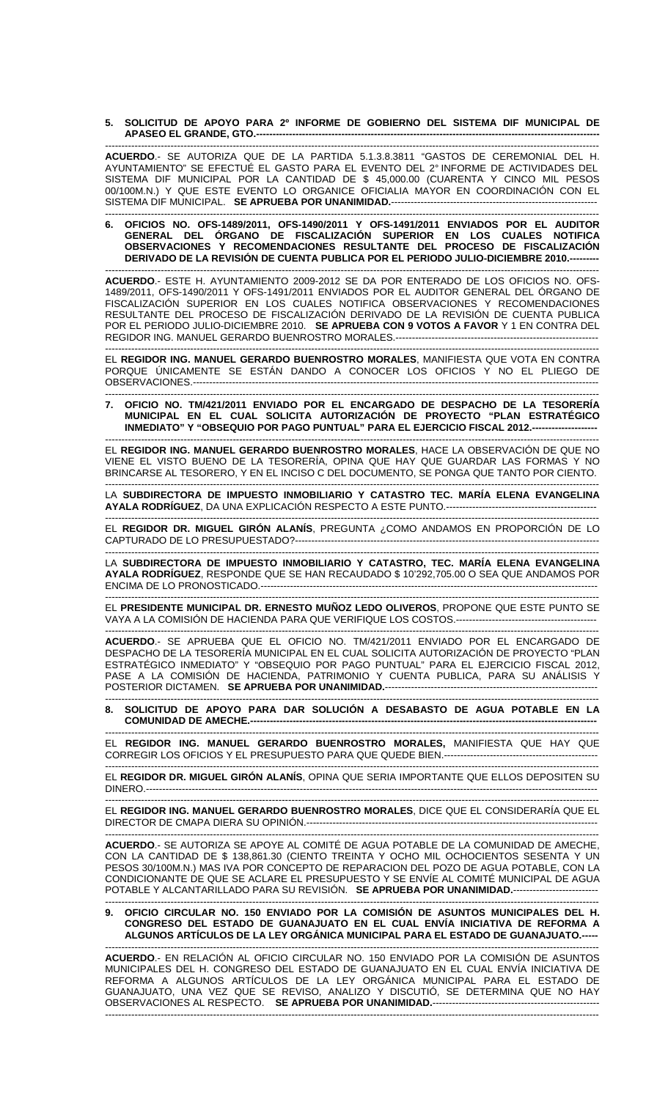**5. SOLICITUD DE APOYO PARA 2º INFORME DE GOBIERNO DEL SISTEMA DIF MUNICIPAL DE APASEO EL GRANDE, GTO.---**

------------------------------------------------------------------------------------------------------------------------------------------------------- **ACUERDO**.- SE AUTORIZA QUE DE LA PARTIDA 5.1.3.8.3811 "GASTOS DE CEREMONIAL DEL H. AYUNTAMIENTO" SE EFECTUÉ EL GASTO PARA EL EVENTO DEL 2° INFORME DE ACTIVIDADES DEL SISTEMA DIF MUNICIPAL POR LA CANTIDAD DE \$ 45,000.00 (CUARENTA Y CINCO MIL PESOS 00/100M.N.) Y QUE ESTE EVENTO LO ORGANICE OFICIALIA MAYOR EN COORDINACIÓN CON EL SISTEMA DIF MUNICIPAL. SE APRUEBA POR UNANIMIDAD.-------------------

------------------------------------------------------------------------------------------------------------------------------------------------------- **6. OFICIOS NO. OFS-1489/2011, OFS-1490/2011 Y OFS-1491/2011 ENVIADOS POR EL AUDITOR GENERAL DEL ÓRGANO DE FISCALIZACIÓN SUPERIOR EN LOS CUALES NOTIFICA OBSERVACIONES Y RECOMENDACIONES RESULTANTE DEL PROCESO DE FISCALIZACIÓN DERIVADO DE LA REVISIÓN DE CUENTA PUBLICA POR EL PERIODO JULIO-DICIEMBRE 2010.--**

------------------------------------------------------------------------------------------------------------------------------------------------------- **ACUERDO**.- ESTE H. AYUNTAMIENTO 2009-2012 SE DA POR ENTERADO DE LOS OFICIOS NO. OFS-1489/2011, OFS-1490/2011 Y OFS-1491/2011 ENVIADOS POR EL AUDITOR GENERAL DEL ÓRGANO DE FISCALIZACIÓN SUPERIOR EN LOS CUALES NOTIFICA OBSERVACIONES Y RECOMENDACIONES RESULTANTE DEL PROCESO DE FISCALIZACIÓN DERIVADO DE LA REVISIÓN DE CUENTA PUBLICA POR EL PERIODO JULIO-DICIEMBRE 2010. **SE APRUEBA CON 9 VOTOS A FAVOR** Y 1 EN CONTRA DEL REGIDOR ING. MANUEL GERARDO BUENROSTRO MORALES.--------------------------------------------------------------

------------------------------------------------------------------------------------------------------------------------------------------------------- EL **REGIDOR ING. MANUEL GERARDO BUENROSTRO MORALES**, MANIFIESTA QUE VOTA EN CONTRA PORQUE ÚNICAMENTE SE ESTÁN DANDO A CONOCER LOS OFICIOS Y NO EL PLIEGO DE OBSERVACIONES.---------------------------------------------------------------------------------------------------------------------------- -------------------------------------------------------------------------------------------------------------------------------------------------------

**7. OFICIO NO. TM/421/2011 ENVIADO POR EL ENCARGADO DE DESPACHO DE LA TESORERÍA MUNICIPAL EN EL CUAL SOLICITA AUTORIZACIÓN DE PROYECTO "PLAN ESTRATÉGICO INMEDIATO" Y "OBSEQUIO POR PAGO PUNTUAL" PARA EL EJERCICIO FISCAL 2012.--**

------------------------------------------------------------------------------------------------------------------------------------------------------- EL **REGIDOR ING. MANUEL GERARDO BUENROSTRO MORALES**, HACE LA OBSERVACIÓN DE QUE NO VIENE EL VISTO BUENO DE LA TESORERÍA, OPINA QUE HAY QUE GUARDAR LAS FORMAS Y NO BRINCARSE AL TESORERO, Y EN EL INCISO C DEL DOCUMENTO, SE PONGA QUE TANTO POR CIENTO.

------------------------------------------------------------------------------------------------------------------------------------------------------- LA **SUBDIRECTORA DE IMPUESTO INMOBILIARIO Y CATASTRO TEC. MARÍA ELENA EVANGELINA AYALA RODRÍGUEZ**, DA UNA EXPLICACIÓN RESPECTO A ESTE PUNTO.----------------------------------------------

------------------------------------------------------------------------------------------------------------------------------------------------------- EL **REGIDOR DR. MIGUEL GIRÓN ALANÍS**, PREGUNTA ¿COMO ANDAMOS EN PROPORCIÓN DE LO CAPTURADO DE LO PRESUPUESTADO?---------------------------------------------------------------------------------------------

------------------------------------------------------------------------------------------------------------------------------------------------------- LA **SUBDIRECTORA DE IMPUESTO INMOBILIARIO Y CATASTRO, TEC. MARÍA ELENA EVANGELINA AYALA RODRÍGUEZ**, RESPONDE QUE SE HAN RECAUDADO \$ 10'292,705.00 O SEA QUE ANDAMOS POR ENCIMA DE LO PRONOSTICADO.-------------------------------------------------------------------------------------------------------

------------------------------------------------------------------------------------------------------------------------------------------------------- EL **PRESIDENTE MUNICIPAL DR. ERNESTO MUÑOZ LEDO OLIVEROS**, PROPONE QUE ESTE PUNTO SE VAYA A LA COMISIÓN DE HACIENDA PARA QUE VERIFIQUE LOS COSTOS.-------------------------------------------

------------------------------------------------------------------------------------------------------------------------------------------------------- **ACUERDO**.- SE APRUEBA QUE EL OFICIO NO. TM/421/2011 ENVIADO POR EL ENCARGADO DE DESPACHO DE LA TESORERÍA MUNICIPAL EN EL CUAL SOLICITA AUTORIZACIÓN DE PROYECTO "PLAN ESTRATÉGICO INMEDIATO" Y "OBSEQUIO POR PAGO PUNTUAL" PARA EL EJERCICIO FISCAL 2012, PASE A LA COMISIÓN DE HACIENDA, PATRIMONIO Y CUENTA PUBLICA, PARA SU ANÁLISIS Y POSTERIOR DICTAMEN. **SE APRUEBA POR UNANIMIDAD.**-----------------------------------------------------------------

------------------------------------------------------------------------------------------------------------------------------------------------------- **8. SOLICITUD DE APOYO PARA DAR SOLUCIÓN A DESABASTO DE AGUA POTABLE EN LA COMUNIDAD DE AMECHE.--**

------------------------------------------------------------------------------------------------------------------------------------------------------- EL **REGIDOR ING. MANUEL GERARDO BUENROSTRO MORALES,** MANIFIESTA QUE HAY QUE CORREGIR LOS OFICIOS Y EL PRESUPUESTO PARA QUE QUEDE BIEN.-----------------------------------------------

------------------------------------------------------------------------------------------------------------------------------------------------------- EL **REGIDOR DR. MIGUEL GIRÓN ALANÍS**, OPINA QUE SERIA IMPORTANTE QUE ELLOS DEPOSITEN SU DINERO.------------------------------------------------------------------------------------------------------------------------------------------

------------------------------------------------------------------------------------------------------------------------------------------------------- EL **REGIDOR ING. MANUEL GERARDO BUENROSTRO MORALES**, DICE QUE EL CONSIDERARÍA QUE EL DIRECTOR DE CMAPA DIERA SU OPINIÓN.-----------------------------------------------------------------------------------------

------------------------------------------------------------------------------------------------------------------------------------------------------- **ACUERDO**.- SE AUTORIZA SE APOYE AL COMITÉ DE AGUA POTABLE DE LA COMUNIDAD DE AMECHE, CON LA CANTIDAD DE \$ 138,861.30 (CIENTO TREINTA Y OCHO MIL OCHOCIENTOS SESENTA Y UN PESOS 30/100M.N.) MAS IVA POR CONCEPTO DE REPARACION DEL POZO DE AGUA POTABLE, CON LA CONDICIONANTE DE QUE SE ACLARE EL PRESUPUESTO Y SE ENVÍE AL COMITÉ MUNICIPAL DE AGUA POTABLE Y ALCANTARILLADO PARA SU REVISIÓN. **SE APRUEBA POR UNANIMIDAD.**--------------------------

------------------------------------------------------------------------------------------------------------------------------------------------------- **9. OFICIO CIRCULAR NO. 150 ENVIADO POR LA COMISIÓN DE ASUNTOS MUNICIPALES DEL H. CONGRESO DEL ESTADO DE GUANAJUATO EN EL CUAL ENVÍA INICIATIVA DE REFORMA A ALGUNOS ARTÍCULOS DE LA LEY ORGÁNICA MUNICIPAL PARA EL ESTADO DE GUANAJUATO.-----** 

------------------------------------------------------------------------------------------------------------------------------------------------------- **ACUERDO**.- EN RELACIÓN AL OFICIO CIRCULAR NO. 150 ENVIADO POR LA COMISIÓN DE ASUNTOS MUNICIPALES DEL H. CONGRESO DEL ESTADO DE GUANAJUATO EN EL CUAL ENVÍA INICIATIVA DE REFORMA A ALGUNOS ARTÍCULOS DE LA LEY ORGÁNICA MUNICIPAL PARA EL ESTADO DE GUANAJUATO, UNA VEZ QUE SE REVISO, ANALIZO Y DISCUTIÓ, SE DETERMINA QUE NO HAY OBSERVACIONES AL RESPECTO. **SE APRUEBA POR UNANIMIDAD.**--------------------------------------------------- -------------------------------------------------------------------------------------------------------------------------------------------------------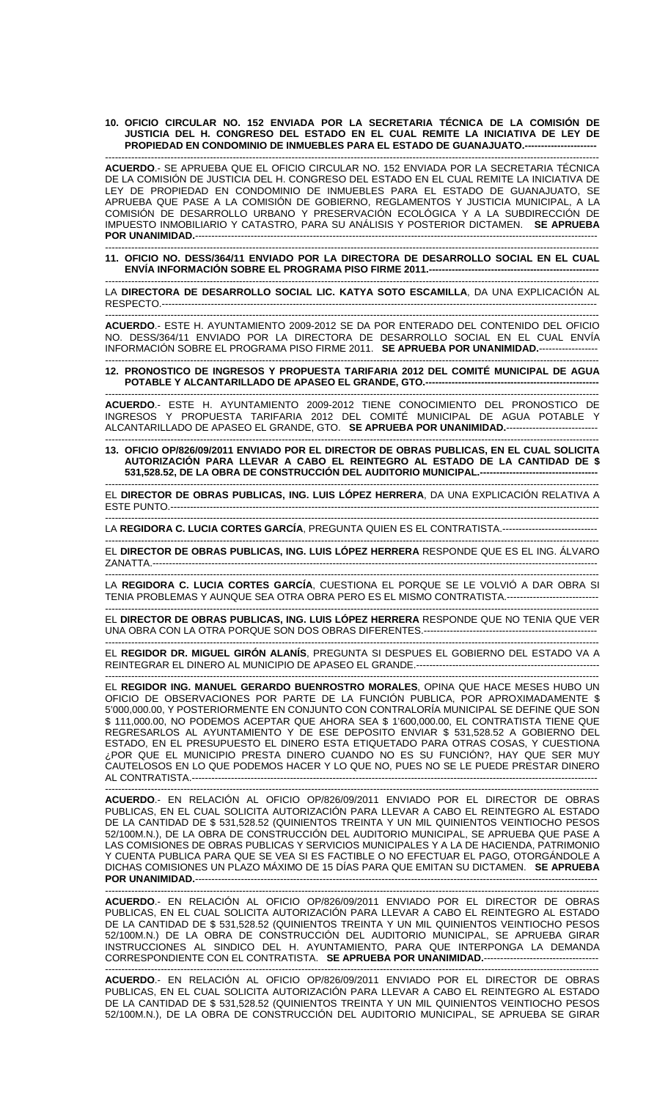**10. OFICIO CIRCULAR NO. 152 ENVIADA POR LA SECRETARIA TÉCNICA DE LA COMISIÓN DE JUSTICIA DEL H. CONGRESO DEL ESTADO EN EL CUAL REMITE LA INICIATIVA DE LEY DE PROPIEDAD EN CONDOMINIO DE INMUEBLES PARA EL ESTADO DE GUANAJUATO.----------------------** 

------------------------------------------------------------------------------------------------------------------------------------------------------- **ACUERDO**.- SE APRUEBA QUE EL OFICIO CIRCULAR NO. 152 ENVIADA POR LA SECRETARIA TÉCNICA DE LA COMISIÓN DE JUSTICIA DEL H. CONGRESO DEL ESTADO EN EL CUAL REMITE LA INICIATIVA DE LEY DE PROPIEDAD EN CONDOMINIO DE INMUEBLES PARA EL ESTADO DE GUANAJUATO, SE APRUEBA QUE PASE A LA COMISIÓN DE GOBIERNO, REGLAMENTOS Y JUSTICIA MUNICIPAL, A LA COMISIÓN DE DESARROLLO URBANO Y PRESERVACIÓN ECOLÓGICA Y A LA SUBDIRECCIÓN DE IMPUESTO INMOBILIARIO Y CATASTRO, PARA SU ANÁLISIS Y POSTERIOR DICTAMEN. **SE APRUEBA POR UNANIMIDAD.----**

------------------------------------------------------------------------------------------------------------------------------------------------------- **11. OFICIO NO. DESS/364/11 ENVIADO POR LA DIRECTORA DE DESARROLLO SOCIAL EN EL CUAL ENVÍA INFORMACIÓN SOBRE EL PROGRAMA PISO FIRME 2011.----------------------------------------------------** 

------------------------------------------------------------------------------------------------------------------------------------------------------- LA **DIRECTORA DE DESARROLLO SOCIAL LIC. KATYA SOTO ESCAMILLA**, DA UNA EXPLICACIÓN AL RESPECTO.---

------------------------------------------------------------------------------------------------------------------------------------------------------- **ACUERDO**.- ESTE H. AYUNTAMIENTO 2009-2012 SE DA POR ENTERADO DEL CONTENIDO DEL OFICIO NO. DESS/364/11 ENVIADO POR LA DIRECTORA DE DESARROLLO SOCIAL EN EL CUAL ENVÍA INFORMACIÓN SOBRE EL PROGRAMA PISO FIRME 2011. **SE APRUEBA POR UNANIMIDAD.**------------------

------------------------------------------------------------------------------------------------------------------------------------------------------- **12. PRONOSTICO DE INGRESOS Y PROPUESTA TARIFARIA 2012 DEL COMITÉ MUNICIPAL DE AGUA POTABLE Y ALCANTARILLADO DE APASEO EL GRANDE, GTO.-----------------------------------------------------** 

-------------------------------------------------------------------------------------------------------------------------------------------------------

**ACUERDO**.- ESTE H. AYUNTAMIENTO 2009-2012 TIENE CONOCIMIENTO DEL PRONOSTICO DE INGRESOS Y PROPUESTA TARIFARIA 2012 DEL COMITÉ MUNICIPAL DE AGUA POTABLE Y ALCANTARILLADO DE APASEO EL GRANDE, GTO. **SE APRUEBA POR UNANIMIDAD.**----------------------------

------------------------------------------------------------------------------------------------------------------------------------------------------- **13. OFICIO OP/826/09/2011 ENVIADO POR EL DIRECTOR DE OBRAS PUBLICAS, EN EL CUAL SOLICITA AUTORIZACIÓN PARA LLEVAR A CABO EL REINTEGRO AL ESTADO DE LA CANTIDAD DE \$**  531,528.52, DE LA OBRA DE CONSTRUCCIÓN DEL AUDITORIO MUNICIPAL.---

------------------------------------------------------------------------------------------------------------------------------------------------------- EL **DIRECTOR DE OBRAS PUBLICAS, ING. LUIS LÓPEZ HERRERA**, DA UNA EXPLICACIÓN RELATIVA A ESTE PUNTO.-----------------------------------------------------------------------------------------------------------------------------------

------------------------------------------------------------------------------------------------------------------------------------------------------- LA **REGIDORA C. LUCIA CORTES GARCÍA**, PREGUNTA QUIEN ES EL CONTRATISTA.-----------------------------

------------------------------------------------------------------------------------------------------------------------------------------------------- EL **DIRECTOR DE OBRAS PUBLICAS, ING. LUIS LÓPEZ HERRERA** RESPONDE QUE ES EL ING. ÁLVARO ZANATTA.----------------------------------------------------------------------------------------------------------------------------------------

------------------------------------------------------------------------------------------------------------------------------------------------------- LA **REGIDORA C. LUCIA CORTES GARCÍA**, CUESTIONA EL PORQUE SE LE VOLVIÓ A DAR OBRA SI TENIA PROBLEMAS Y AUNQUE SEA OTRA OBRA PERO ES EL MISMO CONTRATISTA.----------------------------

------------------------------------------------------------------------------------------------------------------------------------------------------- EL **DIRECTOR DE OBRAS PUBLICAS, ING. LUIS LÓPEZ HERRERA** RESPONDE QUE NO TENIA QUE VER UNA OBRA CON LA OTRA PORQUE SON DOS OBRAS DIFERENTES.-----------------------------------------------------

------------------------------------------------------------------------------------------------------------------------------------------------------- EL **REGIDOR DR. MIGUEL GIRÓN ALANÍS**, PREGUNTA SI DESPUES EL GOBIERNO DEL ESTADO VA A REINTEGRAR EL DINERO AL MUNICIPIO DE APASEO EL GRANDE.--------------------------------------------------------

------------------------------------------------------------------------------------------------------------------------------------------------------- EL **REGIDOR ING. MANUEL GERARDO BUENROSTRO MORALES**, OPINA QUE HACE MESES HUBO UN OFICIO DE OBSERVACIONES POR PARTE DE LA FUNCIÓN PUBLICA, POR APROXIMADAMENTE \$ 5'000,000.00, Y POSTERIORMENTE EN CONJUNTO CON CONTRALORÍA MUNICIPAL SE DEFINE QUE SON \$ 111,000.00, NO PODEMOS ACEPTAR QUE AHORA SEA \$ 1'600,000.00, EL CONTRATISTA TIENE QUE REGRESARLOS AL AYUNTAMIENTO Y DE ESE DEPOSITO ENVIAR \$ 531,528.52 A GOBIERNO DEL ESTADO, EN EL PRESUPUESTO EL DINERO ESTA ETIQUETADO PARA OTRAS COSAS, Y CUESTIONA ¿POR QUE EL MUNICIPIO PRESTA DINERO CUANDO NO ES SU FUNCIÓN?, HAY QUE SER MUY CAUTELOSOS EN LO QUE PODEMOS HACER Y LO QUE NO, PUES NO SE LE PUEDE PRESTAR DINERO AL CONTRATISTA.----------------------------------------------------------------------------------------------------------------------------

------------------------------------------------------------------------------------------------------------------------------------------------------- **ACUERDO**.- EN RELACIÓN AL OFICIO OP/826/09/2011 ENVIADO POR EL DIRECTOR DE OBRAS PUBLICAS, EN EL CUAL SOLICITA AUTORIZACIÓN PARA LLEVAR A CABO EL REINTEGRO AL ESTADO DE LA CANTIDAD DE \$ 531,528.52 (QUINIENTOS TREINTA Y UN MIL QUINIENTOS VEINTIOCHO PESOS 52/100M.N.), DE LA OBRA DE CONSTRUCCIÓN DEL AUDITORIO MUNICIPAL, SE APRUEBA QUE PASE A LAS COMISIONES DE OBRAS PUBLICAS Y SERVICIOS MUNICIPALES Y A LA DE HACIENDA, PATRIMONIO Y CUENTA PUBLICA PARA QUE SE VEA SI ES FACTIBLE O NO EFECTUAR EL PAGO, OTORGÁNDOLE A DICHAS COMISIONES UN PLAZO MÁXIMO DE 15 DÍAS PARA QUE EMITAN SU DICTAMEN. **SE APRUEBA POR UNANIMIDAD.**---------------------------------------------------------------------------------------------------------------------------

**ACUERDO**.- EN RELACIÓN AL OFICIO OP/826/09/2011 ENVIADO POR EL DIRECTOR DE OBRAS PUBLICAS, EN EL CUAL SOLICITA AUTORIZACIÓN PARA LLEVAR A CABO EL REINTEGRO AL ESTADO DE LA CANTIDAD DE \$ 531,528.52 (QUINIENTOS TREINTA Y UN MIL QUINIENTOS VEINTIOCHO PESOS 52/100M.N.) DE LA OBRA DE CONSTRUCCIÓN DEL AUDITORIO MUNICIPAL, SE APRUEBA GIRAR INSTRUCCIONES AL SINDICO DEL H. AYUNTAMIENTO, PARA QUE INTERPONGA LA DEMANDA CORRESPONDIENTE CON EL CONTRATISTA. **SE APRUEBA POR UNANIMIDAD.**-----------------------------------

------------------------------------------------------------------------------------------------------------------------------------------------------- **ACUERDO**.- EN RELACIÓN AL OFICIO OP/826/09/2011 ENVIADO POR EL DIRECTOR DE OBRAS PUBLICAS, EN EL CUAL SOLICITA AUTORIZACIÓN PARA LLEVAR A CABO EL REINTEGRO AL ESTADO DE LA CANTIDAD DE \$ 531,528.52 (QUINIENTOS TREINTA Y UN MIL QUINIENTOS VEINTIOCHO PESOS 52/100M.N.), DE LA OBRA DE CONSTRUCCIÓN DEL AUDITORIO MUNICIPAL, SE APRUEBA SE GIRAR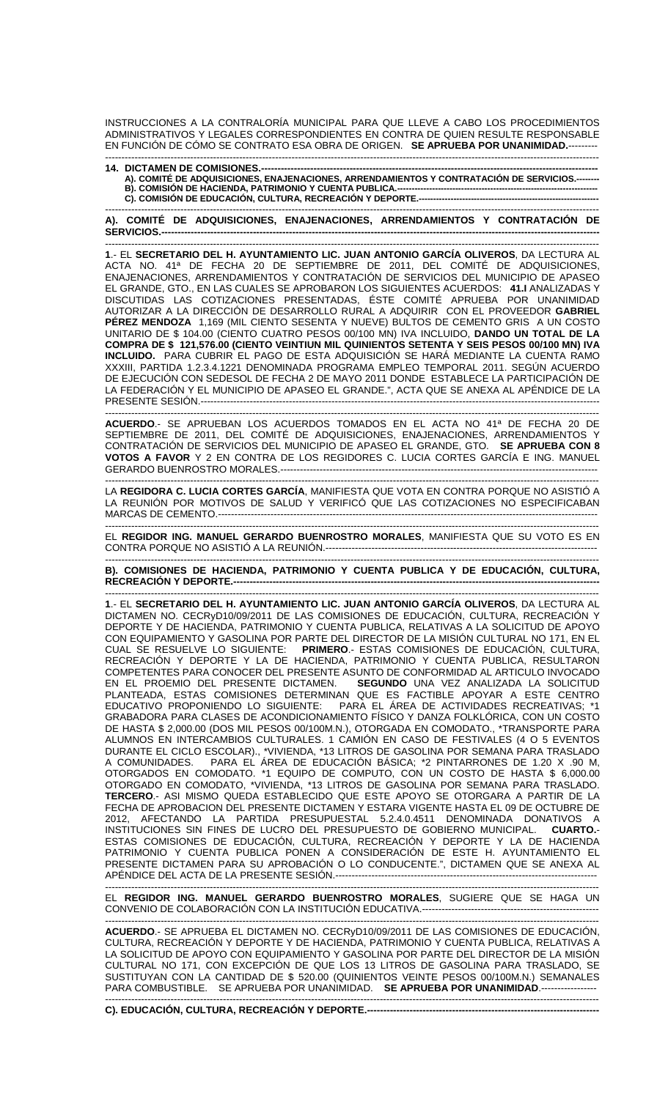INSTRUCCIONES A LA CONTRALORÍA MUNICIPAL PARA QUE LLEVE A CABO LOS PROCEDIMIENTOS ADMINISTRATIVOS Y LEGALES CORRESPONDIENTES EN CONTRA DE QUIEN RESULTE RESPONSABLE EN FUNCIÓN DE CÓMO SE CONTRATO ESA OBRA DE ORIGEN. **SE APRUEBA POR UNANIMIDAD.**--------- -------------------------------------------------------------------------------------------------------------------------------------------------------

## **14. DICTAMEN DE COMISIONES.-------------------------------------------------------------------------------------------------------**

**A). COMITÉ DE ADQUISICIONES, ENAJENACIONES, ARRENDAMIENTOS Y CONTRATACIÓN DE SERVICIOS.-------- B). COMISIÓN DE HACIENDA, PATRIMONIO Y CUENTA PUBLICA.--------------------------------------------------------------------- C). COMISIÓN DE EDUCACIÓN, CULTURA, RECREACIÓN Y DEPORTE.--------------------------------------------------------------** 

------------------------------------------------------------------------------------------------------------------------------------------------------- **A). COMITÉ DE ADQUISICIONES, ENAJENACIONES, ARRENDAMIENTOS Y CONTRATACIÓN DE SERVICIOS.--------------------------------------------------------------------------------------------------------------------------------------** 

------------------------------------------------------------------------------------------------------------------------------------------------------- **1**.- EL **SECRETARIO DEL H. AYUNTAMIENTO LIC. JUAN ANTONIO GARCÍA OLIVEROS**, DA LECTURA AL ACTA NO. 41ª DE FECHA 20 DE SEPTIEMBRE DE 2011, DEL COMITÉ DE ADQUISICIONES, ENAJENACIONES, ARRENDAMIENTOS Y CONTRATACIÓN DE SERVICIOS DEL MUNICIPIO DE APASEO EL GRANDE, GTO., EN LAS CUALES SE APROBARON LOS SIGUIENTES ACUERDOS: **41.I** ANALIZADAS Y DISCUTIDAS LAS COTIZACIONES PRESENTADAS, ÉSTE COMITÉ APRUEBA POR UNANIMIDAD AUTORIZAR A LA DIRECCIÓN DE DESARROLLO RURAL A ADQUIRIR CON EL PROVEEDOR **GABRIEL PÉREZ MENDOZA** 1,169 (MIL CIENTO SESENTA Y NUEVE) BULTOS DE CEMENTO GRIS A UN COSTO UNITARIO DE \$ 104.00 (CIENTO CUATRO PESOS 00/100 MN) IVA INCLUIDO, **DANDO UN TOTAL DE LA COMPRA DE \$ 121,576.00 (CIENTO VEINTIUN MIL QUINIENTOS SETENTA Y SEIS PESOS 00/100 MN) IVA INCLUIDO.** PARA CUBRIR EL PAGO DE ESTA ADQUISICIÓN SE HARÁ MEDIANTE LA CUENTA RAMO XXXIII, PARTIDA 1.2.3.4.1221 DENOMINADA PROGRAMA EMPLEO TEMPORAL 2011. SEGÚN ACUERDO DE EJECUCIÓN CON SEDESOL DE FECHA 2 DE MAYO 2011 DONDE ESTABLECE LA PARTICIPACIÓN DE LA FEDERACIÓN Y EL MUNICIPIO DE APASEO EL GRANDE.", ACTA QUE SE ANEXA AL APÉNDICE DE LA PRESENTE SESIÓN.--------------------------------------------------------------------------------------------------------------------------

------------------------------------------------------------------------------------------------------------------------------------------------------- **ACUERDO**.- SE APRUEBAN LOS ACUERDOS TOMADOS EN EL ACTA NO 41ª DE FECHA 20 DE SEPTIEMBRE DE 2011, DEL COMITÉ DE ADQUISICIONES, ENAJENACIONES, ARRENDAMIENTOS Y CONTRATACIÓN DE SERVICIOS DEL MUNICIPIO DE APASEO EL GRANDE, GTO. **SE APRUEBA CON 8 VOTOS A FAVOR** Y 2 EN CONTRA DE LOS REGIDORES C. LUCIA CORTES GARCÍA E ING. MANUEL GERARDO BUENROSTRO MORALES.-------------------------------------------------------------------------------------------------

------------------------------------------------------------------------------------------------------------------------------------------------------- LA **REGIDORA C. LUCIA CORTES GARCÍA**, MANIFIESTA QUE VOTA EN CONTRA PORQUE NO ASISTIÓ A LA REUNIÓN POR MOTIVOS DE SALUD Y VERIFICÓ QUE LAS COTIZACIONES NO ESPECIFICABAN MARCAS DE CEMENTO.--------------------------------------------------------------------------------------------------------------------

------------------------------------------------------------------------------------------------------------------------------------------------------- EL **REGIDOR ING. MANUEL GERARDO BUENROSTRO MORALES**, MANIFIESTA QUE SU VOTO ES EN CONTRA PORQUE NO ASISTIÓ A LA REUNIÓN.-----------------------------------------------------------------------------------

------------------------------------------------------------------------------------------------------------------------------------------------------- **B). COMISIONES DE HACIENDA, PATRIMONIO Y CUENTA PUBLICA Y DE EDUCACIÓN, CULTURA, RECREACIÓN Y DEPORTE.---**

------------------------------------------------------------------------------------------------------------------------------------------------------- **1**.- EL **SECRETARIO DEL H. AYUNTAMIENTO LIC. JUAN ANTONIO GARCÍA OLIVEROS**, DA LECTURA AL DICTAMEN NO. CECRyD10/09/2011 DE LAS COMISIONES DE EDUCACIÓN, CULTURA, RECREACIÓN Y DEPORTE Y DE HACIENDA, PATRIMONIO Y CUENTA PUBLICA, RELATIVAS A LA SOLICITUD DE APOYO CON EQUIPAMIENTO Y GASOLINA POR PARTE DEL DIRECTOR DE LA MISIÓN CULTURAL NO 171, EN EL CUAL SE RESUELVE LO SIGUIENTE: **PRIMERO**.- ESTAS COMISIONES DE EDUCACIÓN, CULTURA, RECREACIÓN Y DEPORTE Y LA DE HACIENDA, PATRIMONIO Y CUENTA PUBLICA, RESULTARON COMPETENTES PARA CONOCER DEL PRESENTE ASUNTO DE CONFORMIDAD AL ARTICULO INVOCADO EN EL PROEMIO DEL PRESENTE DICTAMEN. **SEGUNDO** UNA VEZ ANALIZADA LA SOLICITUD PLANTEADA, ESTAS COMISIONES DETERMINAN QUE ES FACTIBLE APOYAR A ESTE CENTRO EDUCATIVO PROPONIENDO LO SIGUIENTE: PARA EL ÁREA DE ACTIVIDADES RECREATIVAS; \*1 GRABADORA PARA CLASES DE ACONDICIONAMIENTO FÍSICO Y DANZA FOLKLÓRICA, CON UN COSTO DE HASTA \$ 2,000.00 (DOS MIL PESOS 00/100M.N.), OTORGADA EN COMODATO., \*TRANSPORTE PARA ALUMNOS EN INTERCAMBIOS CULTURALES. 1 CAMIÓN EN CASO DE FESTIVALES (4 O 5 EVENTOS DURANTE EL CICLO ESCOLAR)., \*VIVIENDA, \*13 LITROS DE GASOLINA POR SEMANA PARA TRASLADO A COMUNIDADES. PARA EL ÁREA DE EDUCACIÓN BÁSICA; \*2 PINTARRONES DE 1.20 X .90 M, OTORGADOS EN COMODATO. \*1 EQUIPO DE COMPUTO, CON UN COSTO DE HASTA \$ 6,000.00 OTORGADO EN COMODATO, \*VIVIENDA, \*13 LITROS DE GASOLINA POR SEMANA PARA TRASLADO. **TERCERO**.- ASI MISMO QUEDA ESTABLECIDO QUE ESTE APOYO SE OTORGARA A PARTIR DE LA FECHA DE APROBACION DEL PRESENTE DICTAMEN Y ESTARA VIGENTE HASTA EL 09 DE OCTUBRE DE 2012, AFECTANDO LA PARTIDA PRESUPUESTAL 5.2.4.0.4511 DENOMINADA DONATIVOS A INSTITUCIONES SIN FINES DE LUCRO DEL PRESUPUESTO DE GOBIERNO MUNICIPAL. **CUARTO.**- ESTAS COMISIONES DE EDUCACIÓN, CULTURA, RECREACIÓN Y DEPORTE Y LA DE HACIENDA PATRIMONIO Y CUENTA PUBLICA PONEN A CONSIDERACIÓN DE ESTE H. AYUNTAMIENTO EL PRESENTE DICTAMEN PARA SU APROBACIÓN O LO CONDUCENTE.", DICTAMEN QUE SE ANEXA AL APÉNDICE DEL ACTA DE LA PRESENTE SESIÓN.--------------------------------------------------------------------------------

------------------------------------------------------------------------------------------------------------------------------------------------------- EL **REGIDOR ING. MANUEL GERARDO BUENROSTRO MORALES**, SUGIERE QUE SE HAGA UN CONVENIO DE COLABORACIÓN CON LA INSTITUCIÓN EDUCATIVA.------------------------------------------------------

------------------------------------------------------------------------------------------------------------------------------------------------------- **ACUERDO**.- SE APRUEBA EL DICTAMEN NO. CECRyD10/09/2011 DE LAS COMISIONES DE EDUCACIÓN, CULTURA, RECREACIÓN Y DEPORTE Y DE HACIENDA, PATRIMONIO Y CUENTA PUBLICA, RELATIVAS A LA SOLICITUD DE APOYO CON EQUIPAMIENTO Y GASOLINA POR PARTE DEL DIRECTOR DE LA MISIÓN CULTURAL NO 171, CON EXCEPCIÓN DE QUE LOS 13 LITROS DE GASOLINA PARA TRASLADO, SE SUSTITUYAN CON LA CANTIDAD DE \$ 520.00 (QUINIENTOS VEINTE PESOS 00/100M.N.) SEMANALES PARA COMBUSTIBLE. SE APRUEBA POR UNANIMIDAD. **SE APRUEBA POR UNANIMIDAD**.-----------------

-------------------------------------------------------------------------------------------------------------------------------------------------------

**C). EDUCACIÓN, CULTURA, RECREACIÓN Y DEPORTE.-----------------------------------------------------------------------**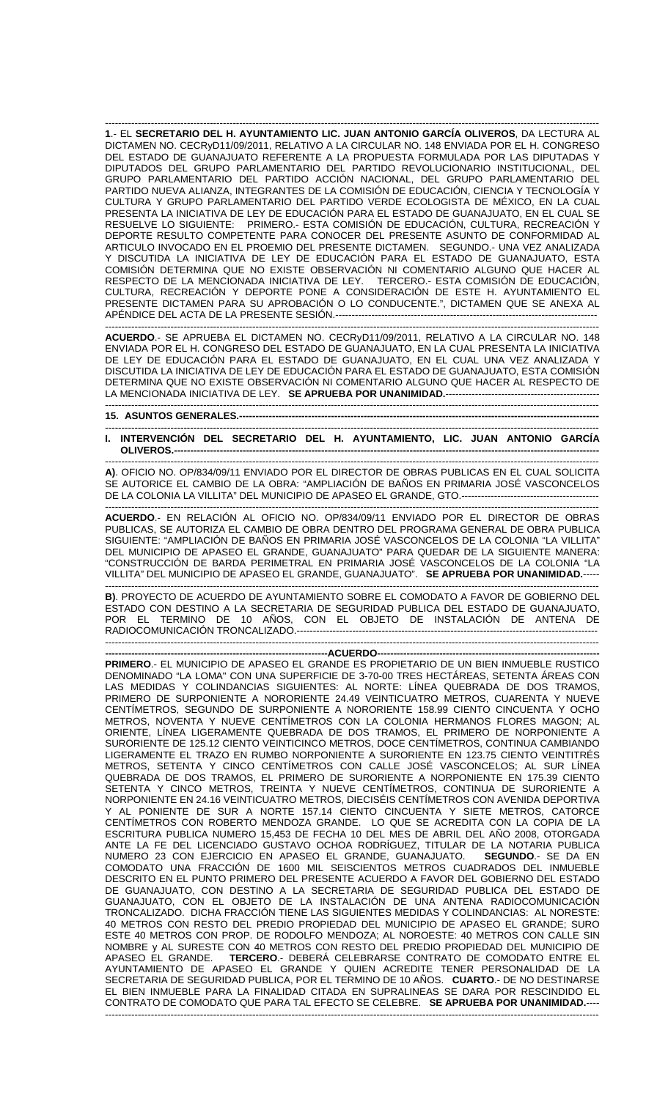------------------------------------------------------------------------------------------------------------------------------------------------------- **1**.- EL **SECRETARIO DEL H. AYUNTAMIENTO LIC. JUAN ANTONIO GARCÍA OLIVEROS**, DA LECTURA AL DICTAMEN NO. CECRyD11/09/2011, RELATIVO A LA CIRCULAR NO. 148 ENVIADA POR EL H. CONGRESO DEL ESTADO DE GUANAJUATO REFERENTE A LA PROPUESTA FORMULADA POR LAS DIPUTADAS Y DIPUTADOS DEL GRUPO PARLAMENTARIO DEL PARTIDO REVOLUCIONARIO INSTITUCIONAL, DEL GRUPO PARLAMENTARIO DEL PARTIDO ACCIÓN NACIONAL, DEL GRUPO PARLAMENTARIO DEL PARTIDO NUEVA ALIANZA, INTEGRANTES DE LA COMISIÓN DE EDUCACIÓN, CIENCIA Y TECNOLOGÍA Y CULTURA Y GRUPO PARLAMENTARIO DEL PARTIDO VERDE ECOLOGISTA DE MÉXICO, EN LA CUAL PRESENTA LA INICIATIVA DE LEY DE EDUCACIÓN PARA EL ESTADO DE GUANAJUATO, EN EL CUAL SE RESUELVE LO SIGUIENTE: PRIMERO.- ESTA COMISIÓN DE EDUCACIÓN, CULTURA, RECREACIÓN Y DEPORTE RESULTO COMPETENTE PARA CONOCER DEL PRESENTE ASUNTO DE CONFORMIDAD AL ARTICULO INVOCADO EN EL PROEMIO DEL PRESENTE DICTAMEN. SEGUNDO.- UNA VEZ ANALIZADA Y DISCUTIDA LA INICIATIVA DE LEY DE EDUCACIÓN PARA EL ESTADO DE GUANAJUATO, ESTA COMISIÓN DETERMINA QUE NO EXISTE OBSERVACIÓN NI COMENTARIO ALGUNO QUE HACER AL RESPECTO DE LA MENCIONADA INICIATIVA DE LEY. TERCERO.- ESTA COMISIÓN DE EDUCACIÓN, CULTURA, RECREACIÓN Y DEPORTE PONE A CONSIDERACIÓN DE ESTE H. AYUNTAMIENTO EL PRESENTE DICTAMEN PARA SU APROBACIÓN O LO CONDUCENTE.", DICTAMEN QUE SE ANEXA AL APÉNDICE DEL ACTA DE LA PRESENTE SESIÓN.----------------------------

------------------------------------------------------------------------------------------------------------------------------------------------------- **ACUERDO**.- SE APRUEBA EL DICTAMEN NO. CECRyD11/09/2011, RELATIVO A LA CIRCULAR NO. 148 ENVIADA POR EL H. CONGRESO DEL ESTADO DE GUANAJUATO, EN LA CUAL PRESENTA LA INICIATIVA DE LEY DE EDUCACIÓN PARA EL ESTADO DE GUANAJUATO, EN EL CUAL UNA VEZ ANALIZADA Y DISCUTIDA LA INICIATIVA DE LEY DE EDUCACIÓN PARA EL ESTADO DE GUANAJUATO, ESTA COMISIÓN DETERMINA QUE NO EXISTE OBSERVACIÓN NI COMENTARIO ALGUNO QUE HACER AL RESPECTO DE LA MENCIONADA INICIATIVA DE LEY. **SE APRUEBA POR UNANIMIDAD.**----------------------------------------------- -------------------------------------------------------------------------------------------------------------------------------------------------------

**15. ASUNTOS GENERALES.--------------------------------------------------------------------------------------------------------------** 

## ------------------------------------------------------------------------------------------------------------------------------------------------------- **I. INTERVENCIÓN DEL SECRETARIO DEL H. AYUNTAMIENTO, LIC. JUAN ANTONIO GARCÍA OLIVEROS.---**

------------------------------------------------------------------------------------------------------------------------------------------------------- **A)**. OFICIO NO. OP/834/09/11 ENVIADO POR EL DIRECTOR DE OBRAS PUBLICAS EN EL CUAL SOLICITA SE AUTORICE EL CAMBIO DE LA OBRA: "AMPLIACIÓN DE BAÑOS EN PRIMARIA JOSÉ VASCONCELOS DE LA COLONIA LA VILLITA" DEL MUNICIPIO DE APASEO EL GRANDE, GTO.----------------------------------

------------------------------------------------------------------------------------------------------------------------------------------------------- **ACUERDO**.- EN RELACIÓN AL OFICIO NO. OP/834/09/11 ENVIADO POR EL DIRECTOR DE OBRAS PUBLICAS, SE AUTORIZA EL CAMBIO DE OBRA DENTRO DEL PROGRAMA GENERAL DE OBRA PUBLICA SIGUIENTE: "AMPLIACIÓN DE BAÑOS EN PRIMARIA JOSÉ VASCONCELOS DE LA COLONIA "LA VILLITA" DEL MUNICIPIO DE APASEO EL GRANDE, GUANAJUATO" PARA QUEDAR DE LA SIGUIENTE MANERA: "CONSTRUCCIÓN DE BARDA PERIMETRAL EN PRIMARIA JOSÉ VASCONCELOS DE LA COLONIA "LA VILLITA" DEL MUNICIPIO DE APASEO EL GRANDE, GUANAJUATO". **SE APRUEBA POR UNANIMIDAD.**-----

------------------------------------------------------------------------------------------------------------------------------------------------------- **B)**. PROYECTO DE ACUERDO DE AYUNTAMIENTO SOBRE EL COMODATO A FAVOR DE GOBIERNO DEL ESTADO CON DESTINO A LA SECRETARIA DE SEGURIDAD PUBLICA DEL ESTADO DE GUANAJUATO, POR EL TERMINO DE 10 AÑOS, CON EL OBJETO DE INSTALACIÓN DE ANTENA DE RADIOCOMUNICACIÓN TRONCALIZADO.--------------------------------------------------------------------------------------------

-------------------------------------------------------------------------------------------------------------------------------------------------------

**--------------------------------------------------------------------ACUERDO-------------------------------------------------------------------- PRIMERO**.- EL MUNICIPIO DE APASEO EL GRANDE ES PROPIETARIO DE UN BIEN INMUEBLE RUSTICO DENOMINADO "LA LOMA" CON UNA SUPERFICIE DE 3-70-00 TRES HECTÁREAS, SETENTA ÁREAS CON LAS MEDIDAS Y COLINDANCIAS SIGUIENTES: AL NORTE: LÍNEA QUEBRADA DE DOS TRAMOS, PRIMERO DE SURPONIENTE A NORORIENTE 24.49 VEINTICUATRO METROS, CUARENTA Y NUEVE CENTÍMETROS, SEGUNDO DE SURPONIENTE A NORORIENTE 158.99 CIENTO CINCUENTA Y OCHO METROS, NOVENTA Y NUEVE CENTÍMETROS CON LA COLONIA HERMANOS FLORES MAGON; AL ORIENTE, LÍNEA LIGERAMENTE QUEBRADA DE DOS TRAMOS, EL PRIMERO DE NORPONIENTE A SURORIENTE DE 125.12 CIENTO VEINTICINCO METROS, DOCE CENTÍMETROS, CONTINUA CAMBIANDO LIGERAMENTE EL TRAZO EN RUMBO NORPONIENTE A SURORIENTE EN 123.75 CIENTO VEINTITRÉS METROS, SETENTA Y CINCO CENTÍMETROS CON CALLE JOSÉ VASCONCELOS; AL SUR LÍNEA QUEBRADA DE DOS TRAMOS, EL PRIMERO DE SURORIENTE A NORPONIENTE EN 175.39 CIENTO SETENTA Y CINCO METROS, TREINTA Y NUEVE CENTÍMETROS, CONTINUA DE SURORIENTE A NORPONIENTE EN 24.16 VEINTICUATRO METROS, DIECISÉIS CENTÍMETROS CON AVENIDA DEPORTIVA Y AL PONIENTE DE SUR A NORTE 157.14 CIENTO CINCUENTA Y SIETE METROS, CATORCE CENTÍMETROS CON ROBERTO MENDOZA GRANDE. LO QUE SE ACREDITA CON LA COPIA DE LA ESCRITURA PUBLICA NUMERO 15,453 DE FECHA 10 DEL MES DE ABRIL DEL AÑO 2008, OTORGADA ANTE LA FE DEL LICENCIADO GUSTAVO OCHOA RODRÍGUEZ, TITULAR DE LA NOTARIA PUBLICA<br>NUMERO 23 CON EJERCICIO EN APASEO EL GRANDE, GUANAJUATO. **SEGUNDO.**- SE DA EN NUMERO 23 CON EJERCICIO EN APASEO EL GRANDE, GUANAJUATO. COMODATO UNA FRACCIÓN DE 1600 MIL SEISCIENTOS METROS CUADRADOS DEL INMUEBLE DESCRITO EN EL PUNTO PRIMERO DEL PRESENTE ACUERDO A FAVOR DEL GOBIERNO DEL ESTADO DE GUANAJUATO, CON DESTINO A LA SECRETARIA DE SEGURIDAD PUBLICA DEL ESTADO DE GUANAJUATO, CON EL OBJETO DE LA INSTALACIÓN DE UNA ANTENA RADIOCOMUNICACIÓN TRONCALIZADO. DICHA FRACCIÓN TIENE LAS SIGUIENTES MEDIDAS Y COLINDANCIAS: AL NORESTE: 40 METROS CON RESTO DEL PREDIO PROPIEDAD DEL MUNICIPIO DE APASEO EL GRANDE; SURO ESTE 40 METROS CON PROP. DE RODOLFO MENDOZA; AL NOROESTE: 40 METROS CON CALLE SIN NOMBRE y AL SURESTE CON 40 METROS CON RESTO DEL PREDIO PROPIEDAD DEL MUNICIPIO DE APASEO EL GRANDE. **TERCERO**.- DEBERÁ CELEBRARSE CONTRATO DE COMODATO ENTRE EL AYUNTAMIENTO DE APASEO EL GRANDE Y QUIEN ACREDITE TENER PERSONALIDAD DE LA SECRETARIA DE SEGURIDAD PUBLICA, POR EL TERMINO DE 10 AÑOS. **CUARTO**.- DE NO DESTINARSE EL BIEN INMUEBLE PARA LA FINALIDAD CITADA EN SUPRALINEAS SE DARA POR RESCINDIDO EL CONTRATO DE COMODATO QUE PARA TAL EFECTO SE CELEBRE. **SE APRUEBA POR UNANIMIDAD.**---- -------------------------------------------------------------------------------------------------------------------------------------------------------